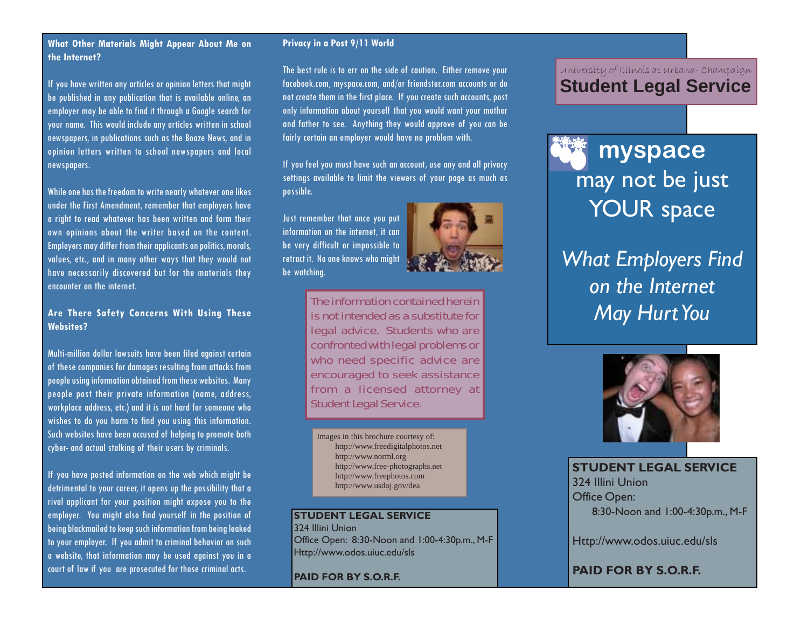### **What Other Materials Might Appear About Me on the Internet?**

If you have written any articles or opinion letters that might be published in any publication that is available online, an employer may be able to find it through a Google search for your name. This would include any articles written in school newspapers, in publications such as the Booze News, and in opinion letters written to school newspapers and local newspapers.

While one has the freedom to write nearly whatever one likes under the First Amendment, remember that employers have a right to read whatever has been written and form their own opinions about the writer based on the content. Employers may differ from their applicants on politics, morals, values, etc., and in many other ways that they would not have necessarily discovered but for the materials they encounter on the internet.

# **Are There Safety Concerns With Using These Websites?**

Multi-million dollar lawsuits have been filed against certain of these companies for damages resulting from attacks from people using information obtained from these websites. Many people post their private information (name, address, workplace address, etc.) and it is not hard for someone who wishes to do you harm to find you using this information. Such websites have been accused of helping to promote both cyber- and actual stalking of their users by criminals.

If you have posted information on the web which might be detrimental to your career, it opens up the possibility that a rival applicant for your position might expose you to the employer. You might also find yourself in the position of being blackmailed to keep such information from being leaked to your employer. If you admit to criminal behavior on such a website, that information may be used against you in a court of law if you are prosecuted for those criminal acts.

# **Privacy in a Post 9/11 World**

The best rule is to err on the side of caution. Either remove your facebook.com, myspace.com, and/or friendster.com accounts or do not create them in the first place. If you create such accounts, post only information about yourself that you would want your mother and father to see. Anything they would approve of you can be fairly certain an employer would have no problem with.

If you feel you must have such an account, use any and all privacy settings available to limit the viewers of your page as much as possible.

Just remember that once you put information on the internet, it can be very difficult or impossible to retract it. No one knows who might be watching.



The information contained herein is not intended as a substitute for legal advice. Students who are confronted with legal problems or who need specific advice are encouraged to seek assistance from a licensed attorney at Student Legal Service.

Images in this brochure courtesy of: http://www.freedigitalphotos.net http://www.norml.org http://www.free-photographs.net http://www.freephotos.com http://www.usdoj.gov/dea

**STUDENT LEGAL SERVICE** 324 Illini Union Office Open: 8:30-Noon and 1:00-4:30p.m., M-F Http://www.odos.uiuc.edu/sls

**PAID FOR BY S.O.R.F.**

# University of Illinois at Urbana- Champaign **Student Legal Service**



*What Employers Find on the Internet May Hurt You*



**STUDENT LEGAL SERVICE** 324 Illini Union Office Open: 8:30-Noon and 1:00-4:30p.m., M-F

Http://www.odos.uiuc.edu/sls

**PAID FOR BY S.O.R.F.**